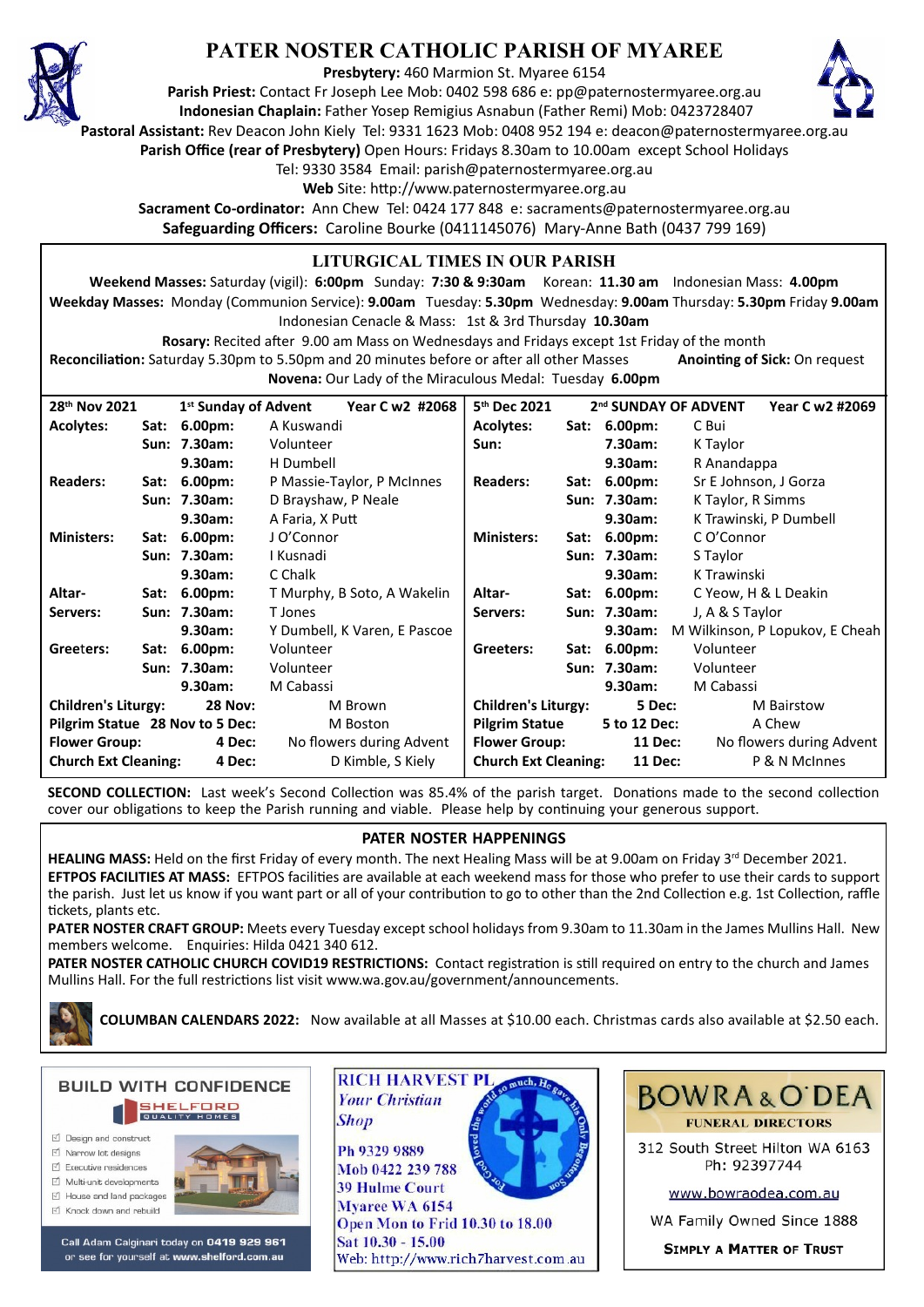

# **PATER NOSTER CATHOLIC PARISH OF MYAREE**

**Presbytery:** 460 Marmion St. Myaree 6154

**Parish Priest:** Contact Fr Joseph Lee Mob: 0402 598 686 e: pp@paternostermyaree.org.au **Indonesian Chaplain:** Father Yosep Remigius Asnabun (Father Remi) Mob: 0423728407



**Pastoral Assistant:** Rev Deacon John Kiely Tel: 9331 1623 Mob: 0408 952 194 e: deacon@paternostermyaree.org.au

**Parish Office (rear of Presbytery)** Open Hours: Fridays 8.30am to 10.00am except School Holidays

Tel: 9330 3584 Email: parish@paternostermyaree.org.au

Web Site: http://www.paternostermyaree.org.au

**Sacrament Co-ordinator:** Ann Chew Tel: 0424 177 848 e: sacraments@paternostermyaree.org.au **Safeguarding Officers:** Caroline Bourke (0411145076) Mary-Anne Bath (0437 799 169)

### **LITURGICAL TIMES IN OUR PARISH**

**Weekend Masses:** Saturday (vigil): **6:00pm** Sunday: **7:30 & 9:30am** Korean: **11.30 am** Indonesian Mass: **4.00pm Weekday Masses:** Monday (Communion Service): **9.00am** Tuesday: **5.30pm** Wednesday: **9.00am** Thursday: **5.30pm** Friday **9.00am** Indonesian Cenacle & Mass: 1st & 3rd Thursday **10.30am**

**Rosary:** Recited a�er 9.00 am Mass on Wednesdays and Fridays except 1st Friday of the month Reconciliation: Saturday 5.30pm to 5.50pm and 20 minutes before or after all other Masses **Anointing of Sick:** On request

**Novena:** Our Lady of the Miraculous Medal: Tuesday **6.00pm**

| 28 <sup>th</sup> Nov 2021                    |      | 1 <sup>st</sup> Sunday of Advent | Year C w2 #2068              | 5 <sup>th</sup> Dec 2021    |                | 2 <sup>nd</sup> SUNDAY OF ADVENT<br>Year C w2 #2069 |
|----------------------------------------------|------|----------------------------------|------------------------------|-----------------------------|----------------|-----------------------------------------------------|
| <b>Acolytes:</b>                             | Sat: | $6.00pm$ :                       | A Kuswandi                   | <b>Acolytes:</b>            | Sat: 6.00pm:   | C Bui                                               |
|                                              |      | Sun: 7.30am:                     | Volunteer                    | Sun:                        | 7.30am:        | K Taylor                                            |
|                                              |      | 9.30am:                          | H Dumbell                    |                             | 9.30am:        | R Anandappa                                         |
| <b>Readers:</b>                              | Sat: | 6.00 <sub>pm</sub>               | P Massie-Taylor, P McInnes   | <b>Readers:</b>             | Sat: 6.00pm:   | Sr E Johnson, J Gorza                               |
|                                              |      | Sun: 7.30am:                     | D Brayshaw, P Neale          |                             | Sun: 7.30am:   | K Taylor, R Simms                                   |
|                                              |      | 9.30am:                          | A Faria, X Putt              |                             | 9.30am:        | K Trawinski, P Dumbell                              |
| <b>Ministers:</b>                            | Sat: | $6.00pm$ :                       | J O'Connor                   | <b>Ministers:</b>           | Sat: 6.00pm:   | C O'Connor                                          |
|                                              |      | Sun: 7.30am:                     | I Kusnadi                    |                             | Sun: 7.30am:   | S Taylor                                            |
|                                              |      | 9.30am:                          | C Chalk                      |                             | 9.30am:        | K Trawinski                                         |
| Altar-                                       | Sat: | $6.00pm$ :                       | T Murphy, B Soto, A Wakelin  | Altar-                      | Sat: 6.00pm:   | C Yeow, H & L Deakin                                |
| Servers:                                     |      | Sun: 7.30am:                     | T Jones                      | Servers:                    | Sun: 7.30am:   | J, A & S Taylor                                     |
|                                              |      | 9.30am:                          | Y Dumbell, K Varen, E Pascoe |                             | 9.30am:        | M Wilkinson, P Lopukov, E Cheah                     |
| Greeters:                                    |      | Sat: 6.00pm:                     | Volunteer                    | Greeters:                   | Sat: 6.00pm:   | Volunteer                                           |
|                                              |      | Sun: 7.30am:                     | Volunteer                    |                             | Sun: 7.30am:   | Volunteer                                           |
|                                              |      | 9.30am:                          | M Cabassi                    |                             | 9.30am:        | M Cabassi                                           |
| <b>Children's Liturgy:</b><br><b>28 Nov:</b> |      |                                  | M Brown                      | <b>Children's Liturgy:</b>  | 5 Dec:         | M Bairstow                                          |
| Pilgrim Statue 28 Nov to 5 Dec:              |      |                                  | M Boston                     | <b>Pilgrim Statue</b>       | 5 to 12 Dec:   | A Chew                                              |
| <b>Flower Group:</b><br>4 Dec:               |      |                                  | No flowers during Advent     | <b>Flower Group:</b>        | <b>11 Dec:</b> | No flowers during Advent                            |
| <b>Church Ext Cleaning:</b><br>4 Dec:        |      |                                  | D Kimble, S Kiely            | <b>Church Ext Cleaning:</b> | <b>11 Dec:</b> | P & N McInnes                                       |

**SECOND COLLECTION:** Last week's Second Collection was 85.4% of the parish target. Donations made to the second collection cover our obligations to keep the Parish running and viable. Please help by continuing your generous support.

# **PATER NOSTER HAPPENINGS**

HEALING MASS: Held on the first Friday of every month. The next Healing Mass will be at 9.00am on Friday 3<sup>rd</sup> December 2021. **EFTPOS FACILITIES AT MASS:** EFTPOS facili�es are available at each weekend mass for those who prefer to use their cards to support the parish. Just let us know if you want part or all of your contribution to go to other than the 2nd Collection e.g. 1st Collection, raffle �ckets, plants etc.

**PATER NOSTER CRAFT GROUP:** Meets every Tuesday except school holidays from 9.30am to 11.30am in the James Mullins Hall. New members welcome. Enquiries: Hilda 0421 340 612.

PATER NOSTER CATHOLIC CHURCH COVID19 RESTRICTIONS: Contact registration is still required on entry to the church and James Mullins Hall. For the full restrictions list visit www.wa.gov.au/government/announcements.

**COLUMBAN CALENDARS 2022:** Now available at all Masses at \$10.00 each. Christmas cards also available at \$2.50 each.



- M Narrow Int designe
- $\triangledown$  Executive residences
- Multi-unit developments
- M House and land packages
- ☑ Knock down and rebuild



Call Adam Calginari today on 0419 929 961 or see for yourself at www.shelford.com.au



Mob 0422 239 788 **39 Hulme Court** Myaree WA 6154 Open Mon to Frid 10.30 to 18.00 Sat 10.30 - 15.00 Web: http://www.rich7harvest.com.au



312 South Street Hilton WA 6163 Ph: 92397744

www.bowraodea.com.au

WA Family Owned Since 1888

**SIMPLY A MATTER OF TRUST**